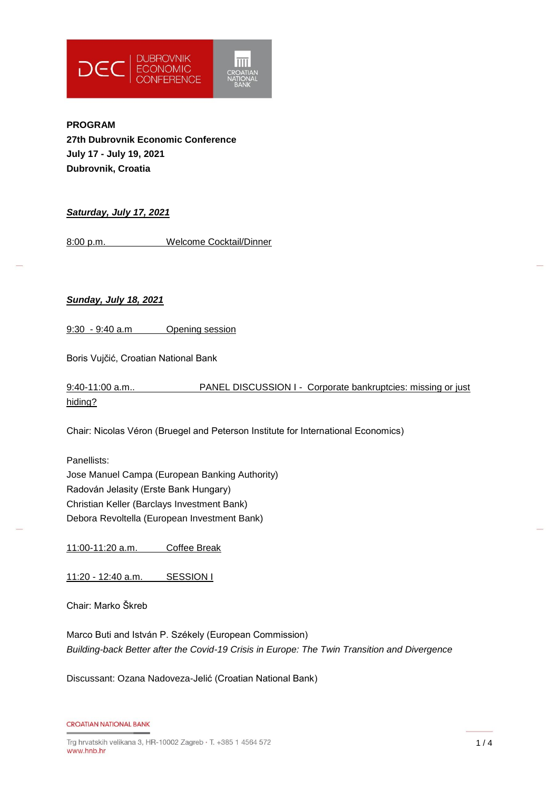

**PROGRAM 27th Dubrovnik Economic Conference July 17 - July 19, 2021 Dubrovnik, Croatia**

## *Saturday, July 17, 2021*

8:00 p.m. Welcome Cocktail/Dinner

### *Sunday, July 18, 2021*

9:30 - 9:40 a.m Opening session

Boris Vujčić, Croatian National Bank

9:40-11:00 a.m.. PANEL DISCUSSION I - Corporate bankruptcies: missing or just hiding?

Chair: Nicolas Véron (Bruegel and Peterson Institute for International Economics)

Panellists: Jose Manuel Campa (European Banking Authority) Radován Jelasity (Erste Bank Hungary) Christian Keller (Barclays Investment Bank) Debora Revoltella (European Investment Bank)

11:00-11:20 a.m. Coffee Break

11:20 - 12:40 a.m. SESSION I

Chair: Marko Škreb

Marco Buti and István P. Székely (European Commission) *Building-back Better after the Covid-19 Crisis in Europe: The Twin Transition and Divergence*

Discussant: Ozana Nadoveza-Jelić (Croatian National Bank)

```
CROATIAN NATIONAL BANK
```
 $1/4$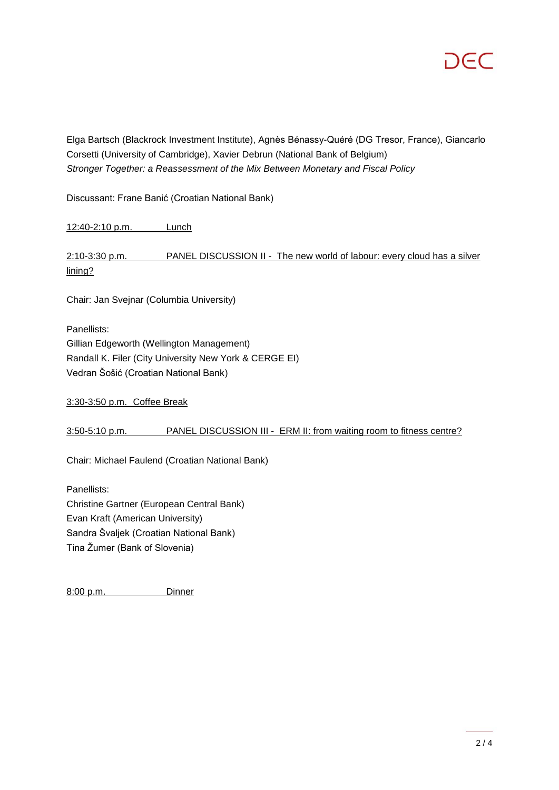Elga Bartsch (Blackrock Investment Institute), Agnès Bénassy-Quéré (DG Tresor, France), Giancarlo Corsetti (University of Cambridge), Xavier Debrun (National Bank of Belgium) *Stronger Together: a Reassessment of the Mix Between Monetary and Fiscal Policy*

Discussant: Frane Banić (Croatian National Bank)

12:40-2:10 p.m. Lunch

2:10-3:30 p.m. PANEL DISCUSSION II - The new world of labour: every cloud has a silver lining?

Chair: Jan Svejnar (Columbia University)

Panellists: Gillian Edgeworth (Wellington Management) Randall K. Filer (City University New York & CERGE EI) Vedran Šošić (Croatian National Bank)

3:30-3:50 p.m. Coffee Break

3:50-5:10 p.m. PANEL DISCUSSION III - ERM II: from waiting room to fitness centre?

Chair: Michael Faulend (Croatian National Bank)

Panellists: Christine Gartner (European Central Bank) Evan Kraft (American University) Sandra Švaljek (Croatian National Bank) Tina Žumer (Bank of Slovenia)

8:00 p.m. Dinner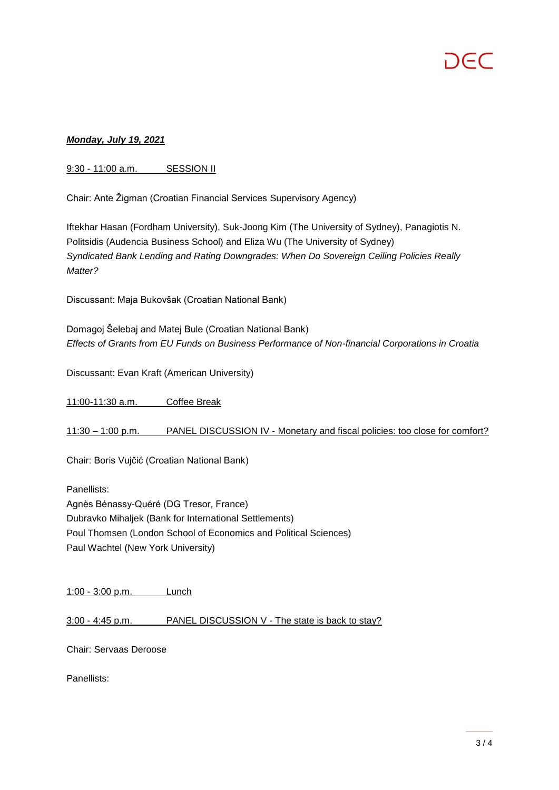# *Monday, July 19, 2021*

## 9:30 - 11:00 a.m. SESSION II

Chair: Ante Žigman (Croatian Financial Services Supervisory Agency)

Iftekhar Hasan (Fordham University), Suk-Joong Kim (The University of Sydney), Panagiotis N. Politsidis (Audencia Business School) and Eliza Wu (The University of Sydney) *Syndicated Bank Lending and Rating Downgrades: When Do Sovereign Ceiling Policies Really Matter?*

Discussant: Maja Bukovšak (Croatian National Bank)

Domagoj Šelebaj and Matej Bule (Croatian National Bank) *Effects of Grants from EU Funds on Business Performance of Non-financial Corporations in Croatia*

Discussant: Evan Kraft (American University)

11:00-11:30 a.m. Coffee Break

11:30 – 1:00 p.m. PANEL DISCUSSION IV - Monetary and fiscal policies: too close for comfort?

Chair: Boris Vujčić (Croatian National Bank)

Panellists: Agnès Bénassy-Quéré (DG Tresor, France) Dubravko Mihaljek (Bank for International Settlements) Poul Thomsen (London School of Economics and Political Sciences) Paul Wachtel (New York University)

1:00 - 3:00 p.m. Lunch

3:00 - 4:45 p.m. PANEL DISCUSSION V - The state is back to stay?

Chair: Servaas Deroose

Panellists: